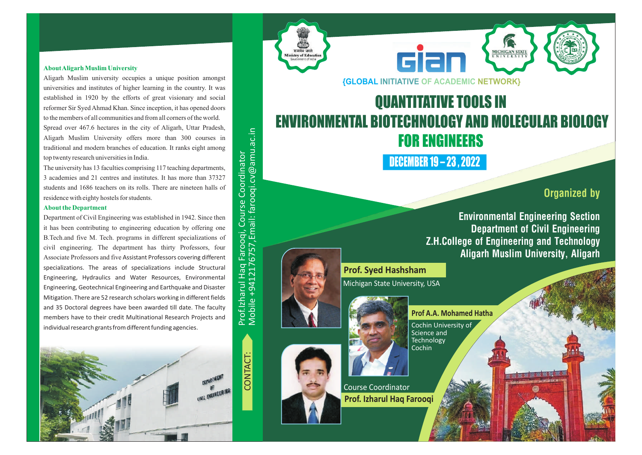#### **About Aligarh Muslim University**

Aligarh Muslim university occupies a unique position amongst universities and institutes of higher learning in the country. It was established in 1920 by the efforts of great visionary and social reformer Sir Syed Ahmad Khan. Since inception, it has opened doors to the members of all communities and from all corners of the world. Spread over 467.6 hectares in the city of Aligarh, Uttar Pradesh, Aligarh Muslim University offers more than 300 courses in traditional and modern branches of education. It ranks eight among top twenty research universities in India.

The university has 13 faculties comprising 117 teaching departments, 3 academies and 21 centres and institutes. It has more than 37327 students and 1686 teachers on its rolls. There are nineteen halls of residence with eighty hostels for students.

#### **About the Department**

Department of Civil Engineering was established in 1942. Since then it has been contributing to engineering education by offering one B.Tech.and five M. Tech. programs in different specializations of civil engineering. The department has thirty Professors, four Associate Professors and five Assistant Professors covering different specializations. The areas of specializations include Structural Engineering, Hydraulics and Water Resources, Environmental Engineering, Geotechnical Engineering and Earthquake and Disaster Mitigation. There are 52 research scholars working in different fields and 35 Doctoral degrees have been awarded till date. The faculty members have to their credit Multinational Research Projects and individual research grants from different funding agencies.



Prof.Izh arul H a q Faro o qi, C o urse ا ب o ordin ator Mobile +9412176757,E mail: faro oqi.c v@ama<br>J .s.<br>ت

मन्यमेव जयतं

inistry of Educa

**{GLOBAL INITIATIVE OF ACADEMIC NETWORK}**

da

### QUANTITATIVE TOOLS IN ENVIRONMENTAL BIOTECHNOLOGY AND MOLECULAR BIOLOGY FOR ENGINEERS

DECEMBER 19 – 23 , 2022

**Prof A.A. Mohamed Hatha**

Science and **Technology** Cochin

**Organized by**

**Environmental Engineering Section Department of Civil Engineering Z.H.College of Engineering and Technology Aligarh Muslim University, Aligarh**

MICHIGAN STATE

**Prof. Syed Hashsham**

Michigan State University, USA



Course Coordinator **Prof. Izharul Haq Farooqi**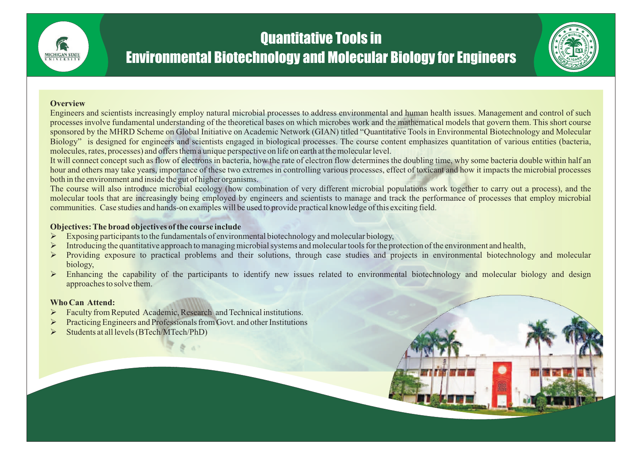# Quantitative Tools in

## Environmental Biotechnology and Molecular Biology for Engineers



#### **Overview**

Engineers and scientists increasingly employ natural microbial processes to address environmental and human health issues. Management and control of such processes involve fundamental understanding of the theoretical bases on which microbes work and the mathematical models that govern them. This short course sponsored by the MHRD Scheme on Global Initiative on Academic Network (GIAN) titled "Quantitative Tools in Environmental Biotechnology and Molecular Biology" is designed for engineers and scientists engaged in biological processes. The course content emphasizes quantitation of various entities (bacteria, molecules, rates, processes) and offers them a unique perspective on life on earth at the molecular level.

It will connect concept such as flow of electrons in bacteria, how the rate of electron flow determines the doubling time, why some bacteria double within half an hour and others may take years, importance of these two extremes in controlling various processes, effect of toxicant and how it impacts the microbial processes both in the environment and inside the gut of higher organisms.

The course will also introduce microbial ecology (how combination of very different microbial populations work together to carry out a process), and the molecular tools that are increasingly being employed by engineers and scientists to manage and track the performance of processes that employ microbial communities. Case studies and hands-on examples will be used to provide practical knowledge of this exciting field.

#### **Objectives: The broad objectives of the course include**

- Exposing participants to the fundamentals of environmental biotechnology and molecular biology,
- Introducing the quantitative approach to managing microbial systems and molecular tools for the protection of the environment and health,
- Providing exposure to practical problems and their solutions, through case studies and projects in environmental biotechnology and molecular biology,
- > Enhancing the capability of the participants to identify new issues related to environmental biotechnology and molecular biology and design approaches to solve them.

### **Who Can Attend:**

- **Eaculty from Reputed Academic, Research and Technical institutions.**
- **Example 2** Practicing Engineers and Professionals from Govt. and other Institutions
- Ø Students at all levels (BTech/MTech/PhD)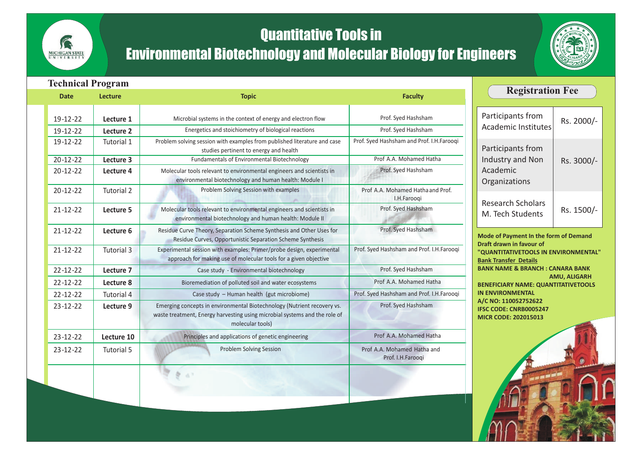## Quantitative Tools in

**SE** MICHIGAN STATE

# Environmental Biotechnology and Molecular Biology for Engineers



| <b>Technical Program</b>         |                        |                                                                                                                                                                                |                                                  |                                                                               |                     |
|----------------------------------|------------------------|--------------------------------------------------------------------------------------------------------------------------------------------------------------------------------|--------------------------------------------------|-------------------------------------------------------------------------------|---------------------|
| <b>Date</b>                      | <b>Lecture</b>         | <b>Topic</b>                                                                                                                                                                   | <b>Faculty</b>                                   | <b>Registration Fee</b>                                                       |                     |
| $19 - 12 - 22$<br>$19 - 12 - 22$ | Lecture 1<br>Lecture 2 | Microbial systems in the context of energy and electron flow<br>Energetics and stoichiometry of biological reactions                                                           | Prof. Syed Hashsham<br>Prof. Syed Hashsham       | Participants from<br><b>Academic Institutes</b>                               | Rs. 2000/-          |
| 19-12-22                         | Tutorial 1             | Problem solving session with examples from published literature and case<br>studies pertinent to energy and health                                                             | Prof. Syed Hashsham and Prof. I.H.Farooqi        | Participants from<br>Industry and Non<br>Academic<br>Organizations            | Rs. 3000/-          |
| $20 - 12 - 22$<br>$20 - 12 - 22$ | Lecture 3<br>Lecture 4 | Fundamentals of Environmental Biotechnology<br>Molecular tools relevant to environmental engineers and scientists in<br>environmental biotechnology and human health: Module I | Prof A.A. Mohamed Hatha<br>Prof. Syed Hashsham   |                                                                               |                     |
| $20 - 12 - 22$                   | Tutorial 2             | Problem Solving Session with examples                                                                                                                                          | Prof A.A. Mohamed Hatha and Prof.<br>I.H.Farooqi | <b>Research Scholars</b><br>M. Tech Students                                  | Rs. 1500/-          |
| $21 - 12 - 22$                   | Lecture 5              | Molecular tools relevant to environmental engineers and scientists in<br>environmental biotechnology and human health: Module II                                               | Prof. Syed Hashsham                              |                                                                               |                     |
| $21 - 12 - 22$                   | Lecture 6              | Residue Curve Theory, Separation Scheme Synthesis and Other Uses for<br>Residue Curves, Opportunistic Separation Scheme Synthesis                                              | Prof. Syed Hashsham                              | Mode of Payment In the form of Demand<br>Draft drawn in favour of             |                     |
| $21 - 12 - 22$                   | Tutorial 3             | Experimental session with examples: Primer/probe design, experimental<br>approach for making use of molecular tools for a given objective                                      | Prof. Syed Hashsham and Prof. I.H.Farooqi        | "QUANTITATIVETOOLS IN ENVIRONMENTAL"<br><b>Bank Transfer Details</b>          |                     |
| $22 - 12 - 22$                   | Lecture 7              | Case study - Environmental biotechnology                                                                                                                                       | Prof. Syed Hashsham                              | <b>BANK NAME &amp; BRANCH: CANARA BANK</b>                                    | <b>AMU, ALIGARH</b> |
| $22 - 12 - 22$                   | Lecture 8              | Bioremediation of polluted soil and water ecosystems                                                                                                                           | Prof A.A. Mohamed Hatha                          | <b>BENEFICIARY NAME: QUANTITATIVETOOLS</b>                                    |                     |
| $22 - 12 - 22$                   | <b>Tutorial 4</b>      | Case study - Human health (gut microbiome)                                                                                                                                     | Prof. Syed Hashsham and Prof. I.H.Farooqi        | <b>IN ENVIRONMENTAL</b>                                                       |                     |
| $23 - 12 - 22$                   | Lecture 9              | Emerging concepts in environmental Biotechnology (Nutrient recovery vs.<br>waste treatment, Energy harvesting using microbial systems and the role of<br>molecular tools)      | Prof. Syed Hashsham                              | A/C NO: 110052752622<br>IFSC CODE: CNRB0005247<br><b>MICR CODE: 202015013</b> |                     |
| $23 - 12 - 22$                   | Lecture 10             | Principles and applications of genetic engineering                                                                                                                             | Prof A.A. Mohamed Hatha                          |                                                                               |                     |
| $23 - 12 - 22$                   | Tutorial 5             | <b>Problem Solving Session</b>                                                                                                                                                 | Prof A.A. Mohamed Hatha and<br>Prof. I.H.Farooqi |                                                                               |                     |
|                                  |                        |                                                                                                                                                                                |                                                  |                                                                               |                     |